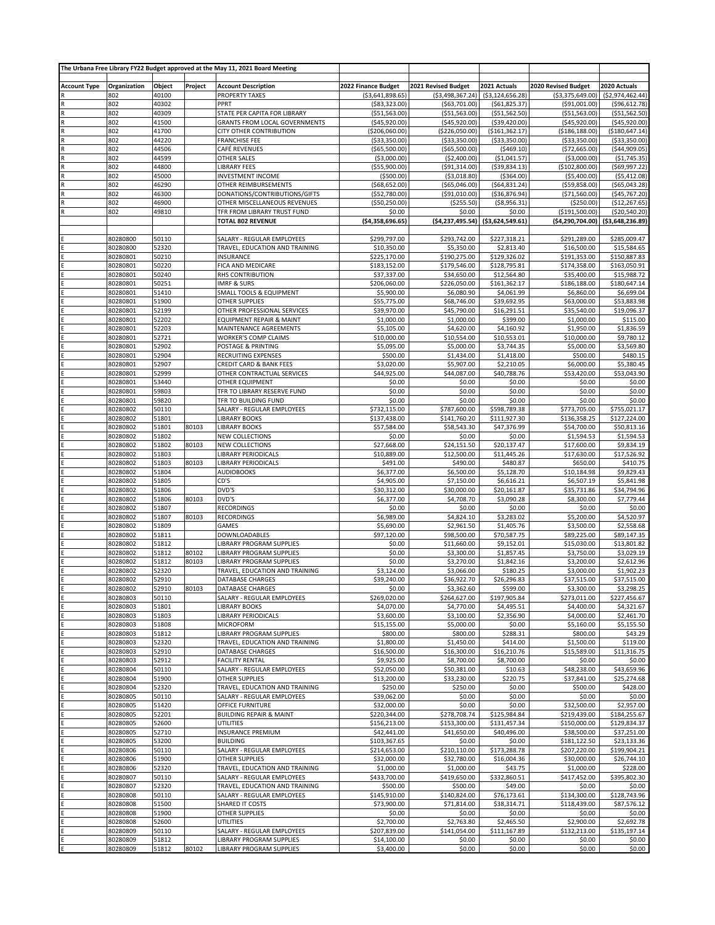|                         |                      |                |         | The Urbana Free Library FY22 Budget approved at the May 11, 2021 Board Meeting |                                   |                                   |                                    |                                     |                                   |
|-------------------------|----------------------|----------------|---------|--------------------------------------------------------------------------------|-----------------------------------|-----------------------------------|------------------------------------|-------------------------------------|-----------------------------------|
| <b>Account Type</b>     | Organization         | Object         | Project | <b>Account Description</b>                                                     | 2022 Finance Budget               | 2021 Revised Budget               | 2021 Actuals                       | 2020 Revised Budget                 | 2020 Actuals                      |
|                         | 802                  | 40100          |         | PROPERTY TAXES                                                                 | ( \$3,641,898.65)                 | ( \$3,498,367.24)                 | ( \$3,124,656.28]                  | ( \$3,375,649.00)                   | (52,974,462.44)                   |
|                         | 802                  | 40302          |         | PPRT                                                                           | ( \$83, 323.00)                   | ( \$63,701.00)                    | ( \$61, 825.37)                    | ( \$91,001.00)                      | (\$96,612.78                      |
|                         | 802                  | 40309          |         | STATE PER CAPITA FOR LIBRARY                                                   | ( \$51, 563.00)                   | ( \$51, 563.00)                   | ( \$51, 562.50)                    | ( \$51, 563.00)                     | ( \$51, 562.50]                   |
|                         | 802<br>802           | 41500<br>41700 |         | <b>GRANTS FROM LOCAL GOVERNMENTS</b>                                           | (\$45,920.00)                     | ( \$45, 920.00]                   | ( \$39,420.00)                     | ( \$45, 920.00)                     | ( \$45, 920.00]                   |
| $\overline{R}$<br>R     | 802                  | 44220          |         | CITY OTHER CONTRIBUTION<br><b>FRANCHISE FEE</b>                                | (\$206,060.00)<br>( \$33, 350.00) | (\$226,050.00)<br>( \$33, 350.00) | ( \$161, 362.17)<br>( \$33,350.00) | ( \$186, 188.00)<br>( \$33, 350.00) | (\$180,647.14<br>( \$33,350.00)   |
| $\overline{R}$          | 802                  | 44506          |         | CAFÉ REVENUES                                                                  | ( \$65,500.00)                    | ( \$65,500.00)                    | ( \$469.10)                        | (\$72,665.00)                       | ( \$44, 909.05)                   |
| R                       | 802                  | 44599          |         | OTHER SALES                                                                    | ( \$3,000.00)                     | (\$2,400.00)                      | ( \$1,041.57)                      | ( \$3,000.00)                       | ( \$1,745.35)                     |
|                         | 802                  | 44800          |         | <b>LIBRARY FEES</b>                                                            | ( \$55, 900.00)                   | ( \$91, 314.00)                   | ( \$39, 834.13)                    | (\$102,800.00)                      | (\$69,997.22)                     |
| $\mathsf{R}$            | 802                  | 45000          |         | <b>INVESTMENT INCOME</b>                                                       | ( \$500.00)                       | ( \$3,018.80)                     | ( \$364.00)                        | ( \$5,400.00)                       | ( \$5,412.08)                     |
|                         | 802<br>802           | 46290<br>46300 |         | OTHER REIMBURSEMENTS<br>DONATIONS/CONTRIBUTIONS/GIFTS                          | ( \$68, 652.00)                   | ( \$65,046.00)<br>( \$91,010.00)  | ( \$64, 831.24)<br>( \$36, 876.94) | ( \$59, 858.00)<br>(\$71,560.00)    | ( \$65,043.28]<br>(\$45,767.20    |
| $\overline{\mathsf{R}}$ | 802                  | 46900          |         | OTHER MISCELLANEOUS REVENUES                                                   | ( \$52,780.00)<br>( \$50, 250.00) | ( \$255.50)                       | ( \$8,956.31)                      | ( \$250.00)                         | (\$12,267.65)                     |
|                         | 802                  | 49810          |         | TFR FROM LIBRARY TRUST FUND                                                    | \$0.00                            | \$0.00                            | \$0.00                             | (\$191,500.00)                      | ( \$20, 540.20]                   |
|                         |                      |                |         | <b>TOTAL 802 REVENUE</b>                                                       | ( \$4,358,696.65)                 | ( \$4,237,495.54)                 | ( \$3,624,549.61)                  |                                     | (\$4,290,704.00) (\$3,648,236.89) |
|                         |                      |                |         |                                                                                |                                   |                                   |                                    |                                     |                                   |
|                         | 80280800             | 50110          |         | SALARY - REGULAR EMPLOYEES                                                     | \$299,797.00                      | \$293,742.00                      | \$227,318.21                       | \$291,289.00                        | \$285,009.47                      |
|                         | 80280800             | 52320<br>50210 |         | TRAVEL, EDUCATION AND TRAINING<br>INSURANCE                                    | \$10,350.00                       | \$5,350.00<br>\$190,275.00        | \$2,813.40                         | \$16,500.00                         | \$15,584.65                       |
|                         | 80280801<br>80280801 | 50220          |         | FICA AND MEDICARE                                                              | \$225,170.00<br>\$183,152.00      | \$179,546.00                      | \$129,326.02<br>\$128,795.81       | \$191,353.00<br>\$174,358.00        | \$150,887.83<br>\$163,050.91      |
|                         | 80280801             | 50240          |         | RHS CONTRIBUTION                                                               | \$37,337.00                       | \$34,650.00                       | \$12,564.80                        | \$35,400.00                         | \$15,988.72                       |
|                         | 80280801             | 50251          |         | <b>IMRF &amp; SURS</b>                                                         | \$206,060.00                      | \$226,050.00                      | \$161,362.17                       | \$186,188.00                        | \$180,647.14                      |
|                         | 80280801             | 51410          |         | SMALL TOOLS & EQUIPMENT                                                        | \$5,900.00                        | \$6,080.90                        | \$4,061.99                         | \$6,860.00                          | \$6,699.04                        |
|                         | 80280801             | 51900          |         | <b>OTHER SUPPLIES</b>                                                          | \$55,775.00                       | \$68,746.00                       | \$39,692.95                        | \$63,000.00                         | \$53,883.98                       |
|                         | 80280801             | 52199          |         | OTHER PROFESSIONAL SERVICES                                                    | \$39,970.00                       | \$45,790.00                       | \$16,291.51                        | \$35,540.00                         | \$19,096.37                       |
|                         | 80280801<br>80280801 | 52202<br>52203 |         | EQUIPMENT REPAIR & MAINT<br>MAINTENANCE AGREEMENTS                             | \$1,000.00<br>\$5,105.00          | \$1,000.00<br>\$4,620.00          | \$399.00<br>\$4,160.92             | \$1,000.00<br>\$1,950.00            | \$115.00<br>\$1,836.59            |
|                         | 80280801             | 52721          |         | <b>WORKER'S COMP CLAIMS</b>                                                    | \$10,000.00                       | \$10,554.00                       | \$10,553.01                        | \$10,000.00                         | \$9,780.12                        |
|                         | 80280801             | 52902          |         | POSTAGE & PRINTING                                                             | \$5,095.00                        | \$5,000.00                        | \$3,744.35                         | \$5,000.00                          | \$3,569.80                        |
|                         | 80280801             | 52904          |         | RECRUITING EXPENSES                                                            | \$500.00                          | \$1,434.00                        | \$1,418.00                         | \$500.00                            | \$480.15                          |
|                         | 80280801             | 52907          |         | CREDIT CARD & BANK FEES                                                        | \$3,020.00                        | \$5,907.00                        | \$2,210.05                         | \$6,000.00                          | \$5,380.45                        |
|                         | 80280801             | 52999          |         | OTHER CONTRACTUAL SERVICES                                                     | \$44,925.00                       | \$44,087.00                       | \$40,788.76                        | \$53,420.00                         | \$53,043.90                       |
|                         | 80280801<br>80280801 | 53440<br>59803 |         | OTHER EQUIPMENT<br>TFR TO LIBRARY RESERVE FUND                                 | \$0.00<br>\$0.00                  | \$0.00<br>\$0.00                  | \$0.00<br>\$0.00                   | \$0.00<br>\$0.00                    | \$0.00<br>\$0.00                  |
|                         | 80280801             | 59820          |         | TFR TO BUILDING FUND                                                           | \$0.00                            | \$0.00                            | \$0.00                             | \$0.00                              | \$0.00                            |
|                         | 80280802             | 50110          |         | SALARY - REGULAR EMPLOYEES                                                     | \$732,115.00                      | \$787,600.00                      | \$598,789.38                       | \$773,705.00                        | \$755,021.17                      |
|                         | 80280802             | 51801          |         | <b>LIBRARY BOOKS</b>                                                           | \$137,438.00                      | \$141,760.20                      | \$111,927.30                       | \$136,358.25                        | \$127,224.00                      |
|                         | 80280802             | 51801          | 80103   | <b>LIBRARY BOOKS</b>                                                           | \$57,584.00                       | \$58,543.30                       | \$47,376.99                        | \$54,700.00                         | \$50,813.16                       |
|                         | 80280802             | 51802          |         | <b>NEW COLLECTIONS</b>                                                         | \$0.00                            | \$0.00                            | \$0.00                             | \$1,594.53                          | \$1,594.53                        |
|                         | 80280802<br>80280802 | 51802<br>51803 | 80103   | <b>NEW COLLECTIONS</b><br>LIBRARY PERIODICALS                                  | \$27,668.00<br>\$10,889.00        | \$24,151.50<br>\$12,500.00        | \$20,137.47<br>\$11,445.26         | \$17,600.00<br>\$17,630.00          | \$9,834.19<br>\$17,526.92         |
|                         | 80280802             | 51803          | 80103   | LIBRARY PERIODICALS                                                            | \$491.00                          | \$490.00                          | \$480.87                           | \$650.00                            | \$410.75                          |
|                         | 80280802             | 51804          |         | <b>AUDIOBOOKS</b>                                                              | \$6,377.00                        | \$6,500.00                        | \$5,128.70                         | \$10,184.98                         | \$9,829.43                        |
|                         | 80280802             | 51805          |         | CD'S                                                                           | \$4,905.00                        | \$7,150.00                        | \$6,616.21                         | \$6,507.19                          | \$5,841.98                        |
|                         | 80280802             | 51806          |         | DVD'S                                                                          | \$30,312.00                       | \$30,000.00                       | \$20,161.87                        | \$35,731.86                         | \$34,794.96                       |
|                         | 80280802<br>80280802 | 51806<br>51807 | 80103   | DVD'S<br><b>RECORDINGS</b>                                                     | \$6,377.00<br>\$0.00              | \$4,708.70<br>\$0.00              | \$3,090.28<br>\$0.00               | \$8,300.00<br>\$0.00                | \$7,779.44<br>\$0.00              |
|                         | 80280802             | 51807          | 80103   | <b>RECORDINGS</b>                                                              | \$6,989.00                        | \$4,824.10                        | \$3,283.02                         | \$5,200.00                          | \$4,520.97                        |
|                         | 80280802             | 51809          |         | <b>GAMES</b>                                                                   | \$5,690.00                        | \$2,961.50                        | \$1,405.76                         | \$3,500.00                          | \$2,558.68                        |
|                         | 80280802             | 51811          |         | DOWNLOADABLES                                                                  | \$97,120.00                       | \$98,500.00                       | \$70,587.75                        | \$89,225.00                         | \$89,147.35                       |
|                         | 80280802             | 51812          |         | LIBRARY PROGRAM SUPPLIES                                                       | \$0.00                            | \$11,660.00                       | \$9,152.01                         | \$15,030.00                         | \$13,801.82                       |
|                         | 80280802             | 51812          | 80102   | LIBRARY PROGRAM SUPPLIES                                                       | \$0.00                            | \$3,300.00                        | \$1,857.45                         | \$3,750.00                          | \$3,029.19                        |
|                         | 80280802<br>80280802 | 51812<br>52320 | 80103   | LIBRARY PROGRAM SUPPLIES<br>TRAVEL, EDUCATION AND TRAINING                     | \$0.00<br>\$3,124.00              | \$3,270.00<br>\$3,066.00          | \$1,842.16<br>\$180.25             | \$3,200.00<br>\$3,000.00            | \$2,612.96<br>\$1,902.23          |
|                         | 80280802             | 52910          |         | DATABASE CHARGES                                                               | \$39,240.00                       | \$36,922.70                       | \$26,296.83                        | \$37,515.00                         | \$37,515.00                       |
|                         | 80280802             | 52910          | 80103   | DATABASE CHARGES                                                               | \$0.00                            | \$3,362.60                        | \$599.00                           | \$3,300.00                          | \$3,298.25                        |
|                         | 80280803             | 50110          |         | SALARY - REGULAR EMPLOYEES                                                     | \$269,020.00                      | \$264,627.00                      | \$197,905.84                       | \$273,011.00                        | \$227,456.67                      |
|                         | 80280803             | 51801          |         | <b>LIBRARY BOOKS</b>                                                           | \$4,070.00                        | \$4,770.00                        | \$4,495.51                         | \$4,400.00                          | \$4,321.67                        |
|                         | 80280803             | 51803          |         | <b>LIBRARY PERIODICALS</b><br><b>MICROFORM</b>                                 | \$3,600.00                        | \$3,100.00                        | \$2,356.90                         | \$4,000.00                          | \$2,461.70                        |
|                         | 80280803<br>80280803 | 51808<br>51812 |         | LIBRARY PROGRAM SUPPLIES                                                       | \$15,155.00<br>\$800.00           | \$5,000.00<br>\$800.00            | \$0.00<br>\$288.31                 | \$5,160.00<br>\$800.00              | \$5,155.50<br>\$43.29             |
|                         | 80280803             | 52320          |         | TRAVEL, EDUCATION AND TRAINING                                                 | \$1,800.00                        | \$1,450.00                        | \$414.00                           | \$1,500.00                          | \$119.00                          |
|                         | 80280803             | 52910          |         | DATABASE CHARGES                                                               | \$16,500.00                       | \$16,300.00                       | \$16,210.76                        | \$15,589.00                         | \$11,316.75                       |
|                         | 80280803             | 52912          |         | <b>FACILITY RENTAL</b>                                                         | \$9,925.00                        | \$8,700.00                        | \$8,700.00                         | \$0.00                              | \$0.00                            |
|                         | 80280804             | 50110          |         | SALARY - REGULAR EMPLOYEES                                                     | \$52,050.00                       | \$50,381.00                       | \$10.63                            | \$48,238.00                         | \$43,659.96                       |
|                         | 80280804<br>80280804 | 51900<br>52320 |         | OTHER SUPPLIES<br>TRAVEL, EDUCATION AND TRAINING                               | \$13,200.00<br>\$250.00           | \$33,230.00<br>\$250.00           | \$220.75<br>\$0.00                 | \$37,841.00<br>\$500.00             | \$25,274.68<br>\$428.00           |
|                         | 80280805             | 50110          |         | SALARY - REGULAR EMPLOYEES                                                     | \$39,062.00                       | \$0.00                            | \$0.00                             | \$0.00                              | \$0.00                            |
|                         | 80280805             | 51420          |         | OFFICE FURNITURE                                                               | \$32,000.00                       | \$0.00                            | \$0.00                             | \$32,500.00                         | \$2,957.00                        |
|                         | 80280805             | 52201          |         | <b>BUILDING REPAIR &amp; MAINT</b>                                             | \$220,344.00                      | \$278,708.74                      | \$125,984.84                       | \$219,439.00                        | \$184,255.67                      |
|                         | 80280805             | 52600          |         | <b>UTILITIES</b>                                                               | \$156,213.00                      | \$153,300.00                      | \$131,457.34                       | \$150,000.00                        | \$129,834.37                      |
|                         | 80280805             | 52710          |         | <b>INSURANCE PREMIUM</b>                                                       | \$42,441.00                       | \$41,650.00                       | \$40,496.00                        | \$38,500.00                         | \$37,251.00                       |
|                         | 80280805<br>80280806 | 53200<br>50110 |         | <b>BUILDING</b><br>SALARY - REGULAR EMPLOYEES                                  | \$103,367.65<br>\$214,653.00      | \$0.00<br>\$210,110.00            | \$0.00<br>\$173,288.78             | \$181,122.50<br>\$207,220.00        | \$23,133.36<br>\$199,904.21       |
|                         | 80280806             | 51900          |         | OTHER SUPPLIES                                                                 | \$32,000.00                       | \$32,780.00                       | \$16,004.36                        | \$30,000.00                         | \$26,744.10                       |
|                         | 80280806             | 52320          |         | TRAVEL, EDUCATION AND TRAINING                                                 | \$1,000.00                        | \$1,000.00                        | \$43.75                            | \$1,000.00                          | \$228.00                          |
|                         | 80280807             | 50110          |         | SALARY - REGULAR EMPLOYEES                                                     | \$433,700.00                      | \$419,650.00                      | \$332,860.51                       | \$417,452.00                        | \$395,802.30                      |
|                         | 80280807             | 52320          |         | TRAVEL, EDUCATION AND TRAINING                                                 | \$500.00                          | \$500.00                          | \$49.00                            | \$0.00                              | \$0.00                            |
|                         | 80280808<br>80280808 | 50110<br>51500 |         | SALARY - REGULAR EMPLOYEES<br>SHARED IT COSTS                                  | \$145,910.00<br>\$73,900.00       | \$140,824.00<br>\$71,814.00       | \$76,173.61<br>\$38,314.71         | \$134,300.00<br>\$118,439.00        | \$128,743.96<br>\$87,576.12       |
|                         | 80280808             | 51900          |         | OTHER SUPPLIES                                                                 | \$0.00                            | \$0.00                            | \$0.00                             | \$0.00                              | \$0.00                            |
|                         | 80280808             | 52600          |         | UTILITIES                                                                      | \$2,700.00                        | \$2,763.80                        | \$2,465.50                         | \$2,900.00                          | \$2,692.78                        |
|                         | 80280809             | 50110          |         | SALARY - REGULAR EMPLOYEES                                                     | \$207,839.00                      | \$141,054.00                      | \$111,167.89                       | \$132,213.00                        | \$135,197.14                      |
|                         | 80280809             | 51812          |         | LIBRARY PROGRAM SUPPLIES                                                       | \$14,100.00                       | \$0.00                            | \$0.00                             | \$0.00                              | \$0.00                            |
|                         | 80280809             | 51812          | 80102   | LIBRARY PROGRAM SUPPLIES                                                       | \$3,400.00                        | \$0.00                            | \$0.00                             | \$0.00                              | \$0.00                            |